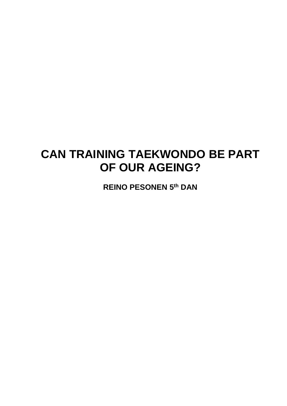# **CAN TRAINING TAEKWONDO BE PART OF OUR AGEING?**

**REINO PESONEN 5 th DAN**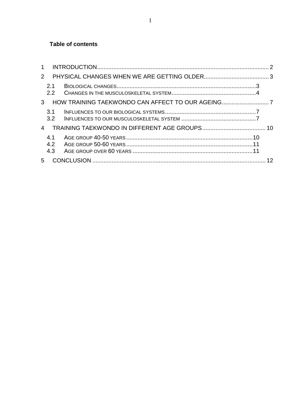#### **Table of contents**

| $\mathbf{1}$      |  |  |
|-------------------|--|--|
| $\mathcal{P}$     |  |  |
| 2.1<br>2.2        |  |  |
| 3                 |  |  |
| 3.1<br>3.2        |  |  |
| $\overline{4}$    |  |  |
| 4.1<br>4.2<br>4.3 |  |  |
|                   |  |  |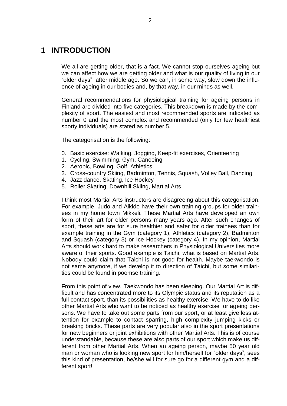# <span id="page-2-0"></span>**1 INTRODUCTION**

We all are getting older, that is a fact. We cannot stop ourselves ageing but we can affect how we are getting older and what is our quality of living in our "older days", after middle age. So we can, in some way, slow down the influence of ageing in our bodies and, by that way, in our minds as well.

General recommendations for physiological training for ageing persons in Finland are divided into five categories. This breakdown is made by the complexity of sport. The easiest and most recommended sports are indicated as number 0 and the most complex and recommended (only for few healthiest sporty individuals) are stated as number 5.

The categorisation is the following:

- 0. Basic exercise: Walking, Jogging, Keep-fit exercises, Orienteering
- 1. Cycling, Swimming, Gym, Canoeing
- 2. Aerobic, Bowling, Golf, Athletics
- 3. Cross-country Skiing, Badminton, Tennis, Squash, Volley Ball, Dancing
- 4. Jazz dance, Skating, Ice Hockey
- 5. Roller Skating, Downhill Skiing, Martial Arts

I think most Martial Arts instructors are disagreeing about this categorisation. For example, Judo and Aikido have their own training groups for older trainees in my home town Mikkeli. These Martial Arts have developed an own form of their art for older persons many years ago. After such changes of sport, these arts are for sure healthier and safer for older trainees than for example training in the Gym (category 1), Athletics (category 2), Badminton and Squash (category 3) or Ice Hockey (category 4). In my opinion, Martial Arts should work hard to make researchers in Physiological Universities more aware of their sports. Good example is Taichi, what is based on Martial Arts. Nobody could claim that Taichi is not good for health. Maybe taekwondo is not same anymore, if we develop it to direction of Taichi, but some similarities could be found in poomse training.

From this point of view, Taekwondo has been sleeping. Our Martial Art is difficult and has concentrated more to its Olympic status and its reputation as a full contact sport, than its possibilities as healthy exercise. We have to do like other Martial Arts who want to be noticed as healthy exercise for ageing persons. We have to take out some parts from our sport, or at least give less attention for example to contact sparring, high complexity jumping kicks or breaking bricks. These parts are very popular also in the sport presentations for new beginners or joint exhibitions with other Martial Arts. This is of course understandable, because these are also parts of our sport which make us different from other Martial Arts. When an ageing person, maybe 50 year old man or woman who is looking new sport for him/herself for "older days", sees this kind of presentation, he/she will for sure go for a different gym and a different sport!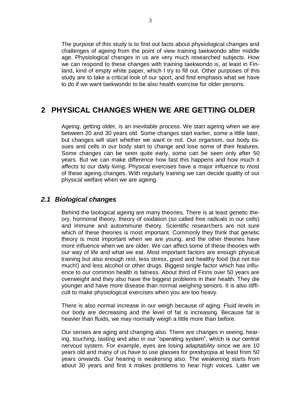The purpose of this study is to find out facts about physiological changes and challenges of ageing from the point of view training taekwondo after middle age. Physiological changes in us are very much researched subjects. How we can respond to these changes with training taekwondo is, at least in Finland, kind of empty white paper, which I try to fill out. Other purposes of this study are to take a critical look of our sport, and find emphasis what we have to do if we want taekwondo to be also health exercise for older persons.

# <span id="page-3-0"></span>**2 PHYSICAL CHANGES WHEN WE ARE GETTING OLDER**

Ageing, getting older, is an inevitable process. We start ageing when we are between 20 and 30 years old. Some changes start earlier, some a little later, but changes will start whether we want or not. Our organism, our body tissues and cells in our body start to change and lose some of their features. Some changes can be seen quite early, some can be seen only after 50 years. But we can make difference how fast this happens and how much it affects to our daily living. Physical exercises have a major influence to most of these ageing changes. With regularly training we can decide quality of our physical welfare when we are ageing.

### <span id="page-3-1"></span>*2.1 Biological changes*

Behind the biological ageing are many theories. There is at least genetic theory, hormonal theory, theory of oxidation (so called free radicals in our cells) and immune and autoimmune theory. Scientific researchers are not sure which of these theories is most important. Commonly they think that genetic theory is most important when we are young, and the other theories have more influence when we are older. We can affect some of these theories with our way of life and what we eat. Most important factors are enough physical training but also enough rest, less stress, good and healthy food (but not too much!) and less alcohol or other drugs. Biggest single factor which has influence to our common health is fatness. About third of Finns over 50 years are overweight and they also have the biggest problems in their health. They die younger and have more disease than normal weighing seniors. It is also difficult to make physiological exercises when you are too heavy.

There is also normal increase in our weigh because of aging. Fluid levels in our body are decreasing and the level of fat is increasing. Because fat is heavier than fluids, we may normally weigh a little more than before.

Our senses are aging and changing also. There are changes in seeing, hearing, touching, tasting and also in our "operating system", which is our central nervous system. For example, eyes are losing adaptability since we are 10 years old and many of us have to use glasses for presbyopia at least from 50 years onwards. Our hearing is weakening also. The weakening starts from about 30 years and first it makes problems to hear high voices. Later we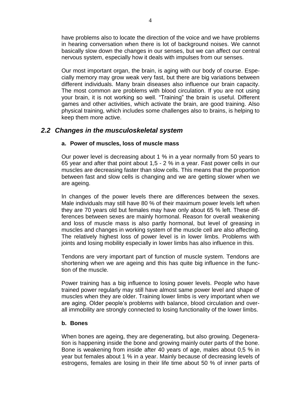have problems also to locate the direction of the voice and we have problems in hearing conversation when there is lot of background noises. We cannot basically slow down the changes in our senses, but we can affect our central nervous system, especially how it deals with impulses from our senses.

Our most important organ, the brain, is aging with our body of course. Especially memory may grow weak very fast, but there are big variations between different individuals. Many brain diseases also influence our brain capacity. The most common are problems with blood circulation. If you are not using your brain, it is not working so well. "Training" the brain is useful. Different games and other activities, which activate the brain, are good training. Also physical training, which includes some challenges also to brains, is helping to keep them more active.

# <span id="page-4-0"></span>*2.2 Changes in the musculoskeletal system*

#### **a. Power of muscles, loss of muscle mass**

Our power level is decreasing about 1 % in a year normally from 50 years to 65 year and after that point about 1,5 - 2 % in a year. Fast power cells in our muscles are decreasing faster than slow cells. This means that the proportion between fast and slow cells is changing and we are getting slower when we are ageing.

In changes of the power levels there are differences between the sexes. Male individuals may still have 80 % of their maximum power levels left when they are 70 years old but females may have only about 65 % left. These differences between sexes are mainly hormonal. Reason for overall weakening and loss of muscle mass is also partly hormonal, but level of greasing in muscles and changes in working system of the muscle cell are also affecting. The relatively highest loss of power level is in lower limbs. Problems with joints and losing mobility especially in lower limbs has also influence in this.

Tendons are very important part of function of muscle system. Tendons are shortening when we are ageing and this has quite big influence in the function of the muscle.

Power training has a big influence to losing power levels. People who have trained power regularly may still have almost same power level and shape of muscles when they are older. Training lower limbs is very important when we are aging. Older people's problems with balance, blood circulation and overall immobility are strongly connected to losing functionality of the lower limbs.

#### **b. Bones**

When bones are ageing, they are degenerating, but also growing. Degeneration is happening inside the bone and growing mainly outer parts of the bone. Bone is weakening from inside after 40 years of age, males about 0,5 % in year but females about 1 % in a year. Mainly because of decreasing levels of estrogens, females are losing in their life time about 50 % of inner parts of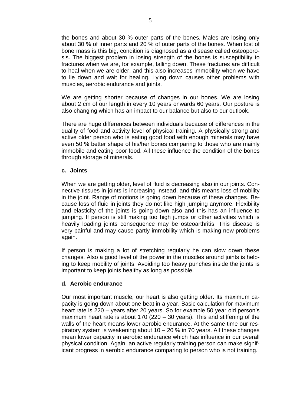the bones and about 30 % outer parts of the bones. Males are losing only about 30 % of inner parts and 20 % of outer parts of the bones. When lost of bone mass is this big, condition is diagnosed as a disease called osteoporosis. The biggest problem in losing strength of the bones is susceptibility to fractures when we are, for example, falling down. These fractures are difficult to heal when we are older, and this also increases immobility when we have to lie down and wait for healing. Lying down causes other problems with muscles, aerobic endurance and joints.

We are getting shorter because of changes in our bones. We are losing about 2 cm of our length in every 10 years onwards 60 years. Our posture is also changing which has an impact to our balance but also to our outlook.

There are huge differences between individuals because of differences in the quality of food and activity level of physical training. A physically strong and active older person who is eating good food with enough minerals may have even 50 % better shape of his/her bones comparing to those who are mainly immobile and eating poor food. All these influence the condition of the bones through storage of minerals.

#### **c. Joints**

When we are getting older, level of fluid is decreasing also in our joints. Connective tissues in joints is increasing instead, and this means loss of mobility in the joint. Range of motions is going down because of these changes. Because loss of fluid in joints they do not like high jumping anymore. Flexibility and elasticity of the joints is going down also and this has an influence to jumping. If person is still making too high jumps or other activities which is heavily loading joints consequence may be osteoarthritis. This disease is very painful and may cause partly immobility which is making new problems again.

If person is making a lot of stretching regularly he can slow down these changes. Also a good level of the power in the muscles around joints is helping to keep mobility of joints. Avoiding too heavy punches inside the joints is important to keep joints healthy as long as possible.

#### **d. Aerobic endurance**

Our most important muscle, our heart is also getting older. Its maximum capacity is going down about one beat in a year. Basic calculation for maximum heart rate is 220 – years after 20 years. So for example 50 year old person's maximum heart rate is about 170 (220 – 30 years). This and stiffening of the walls of the heart means lower aerobic endurance. At the same time our respiratory system is weakening about 10 – 20 % in 70 years. All these changes mean lower capacity in aerobic endurance which has influence in our overall physical condition. Again, an active regularly training person can make significant progress in aerobic endurance comparing to person who is not training.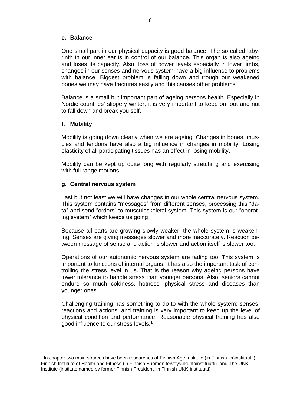#### **e. Balance**

One small part in our physical capacity is good balance. The so called labyrinth in our inner ear is in control of our balance. This organ is also ageing and loses its capacity. Also, loss of power levels especially in lower limbs, changes in our senses and nervous system have a big influence to problems with balance. Biggest problem is falling down and trough our weakened bones we may have fractures easily and this causes other problems.

Balance is a small but important part of ageing persons health. Especially in Nordic countries' slippery winter, it is very important to keep on foot and not to fall down and break you self.

#### **f. Mobility**

<u>.</u>

Mobility is going down clearly when we are ageing. Changes in bones, muscles and tendons have also a big influence in changes in mobility. Losing elasticity of all participating tissues has an effect in losing mobility.

Mobility can be kept up quite long with regularly stretching and exercising with full range motions.

#### **g. Central nervous system**

Last but not least we will have changes in our whole central nervous system. This system contains "messages" from different senses, processing this "data" and send "orders" to musculoskeletal system. This system is our "operating system" which keeps us going.

Because all parts are growing slowly weaker, the whole system is weakening. Senses are giving messages slower and more inaccurately. Reaction between message of sense and action is slower and action itself is slower too.

Operations of our autonomic nervous system are fading too. This system is important to functions of internal organs. It has also the important task of controlling the stress level in us. That is the reason why ageing persons have lower tolerance to handle stress than younger persons. Also, seniors cannot endure so much coldness, hotness, physical stress and diseases than younger ones.

Challenging training has something to do to with the whole system: senses, reactions and actions, and training is very important to keep up the level of physical condition and performance. Reasonable physical training has also good influence to our stress levels.<sup>1</sup>

<sup>&</sup>lt;sup>1</sup> In chapter two main sources have been researches of Finnish Age Institute (in Finnish Ikäinstituutti), Finnish Institute of Health and Fitness (in Finnish Suomen terveysliikuntainstituutti) and The UKK Institute (institute named by former Finnish President, in Finnish UKK-instituutti)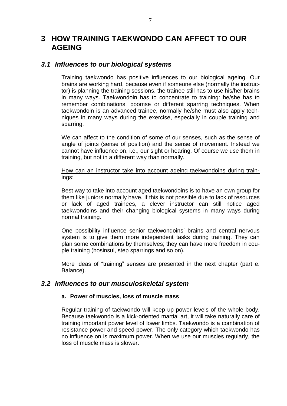# <span id="page-7-0"></span>**3 HOW TRAINING TAEKWONDO CAN AFFECT TO OUR AGEING**

# <span id="page-7-1"></span>*3.1 Influences to our biological systems*

Training taekwondo has positive influences to our biological ageing. Our brains are working hard, because even if someone else (normally the instructor) is planning the training sessions, the trainee still has to use his/her brains in many ways. Taekwondoin has to concentrate to training: he/she has to remember combinations, poomse or different sparring techniques. When taekwondoin is an advanced trainee, normally he/she must also apply techniques in many ways during the exercise, especially in couple training and sparring.

We can affect to the condition of some of our senses, such as the sense of angle of joints (sense of position) and the sense of movement. Instead we cannot have influence on, i.e., our sight or hearing. Of course we use them in training, but not in a different way than normally.

#### How can an instructor take into account ageing taekwondoins during trainings:

Best way to take into account aged taekwondoins is to have an own group for them like juniors normally have. If this is not possible due to lack of resources or lack of aged trainees, a clever instructor can still notice aged taekwondoins and their changing biological systems in many ways during normal training.

One possibility influence senior taekwondoins' brains and central nervous system is to give them more independent tasks during training. They can plan some combinations by themselves; they can have more freedom in couple training (hosinsul, step sparrings and so on).

More ideas of "training" senses are presented in the next chapter (part e. Balance).

### <span id="page-7-2"></span>*3.2 Influences to our musculoskeletal system*

#### **a. Power of muscles, loss of muscle mass**

Regular training of taekwondo will keep up power levels of the whole body. Because taekwondo is a kick-oriented martial art, it will take naturally care of training important power level of lower limbs. Taekwondo is a combination of resistance power and speed power. The only category which taekwondo has no influence on is maximum power. When we use our muscles regularly, the loss of muscle mass is slower.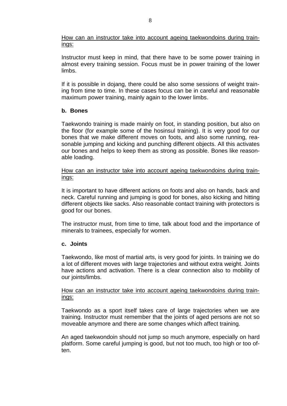How can an instructor take into account ageing taekwondoins during trainings:

Instructor must keep in mind, that there have to be some power training in almost every training session. Focus must be in power training of the lower limbs.

If it is possible in dojang, there could be also some sessions of weight training from time to time. In these cases focus can be in careful and reasonable maximum power training, mainly again to the lower limbs.

#### **b. Bones**

Taekwondo training is made mainly on foot, in standing position, but also on the floor (for example some of the hosinsul training). It is very good for our bones that we make different moves on foots, and also some running, reasonable jumping and kicking and punching different objects. All this activates our bones and helps to keep them as strong as possible. Bones like reasonable loading.

How can an instructor take into account ageing taekwondoins during trainings:

It is important to have different actions on foots and also on hands, back and neck. Careful running and jumping is good for bones, also kicking and hitting different objects like sacks. Also reasonable contact training with protectors is good for our bones.

The instructor must, from time to time, talk about food and the importance of minerals to trainees, especially for women.

#### **c. Joints**

Taekwondo, like most of martial arts, is very good for joints. In training we do a lot of different moves with large trajectories and without extra weight. Joints have actions and activation. There is a clear connection also to mobility of our joints/limbs.

#### How can an instructor take into account ageing taekwondoins during trainings:

Taekwondo as a sport itself takes care of large trajectories when we are training. Instructor must remember that the joints of aged persons are not so moveable anymore and there are some changes which affect training.

An aged taekwondoin should not jump so much anymore, especially on hard platform. Some careful jumping is good, but not too much, too high or too often.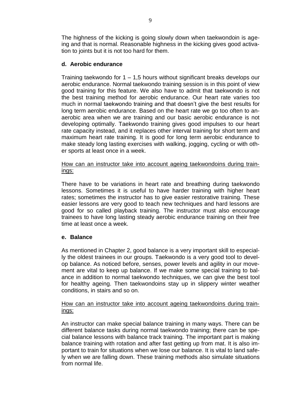The highness of the kicking is going slowly down when taekwondoin is ageing and that is normal. Reasonable highness in the kicking gives good activation to joints but it is not too hard for them.

#### **d. Aerobic endurance**

Training taekwondo for 1 – 1,5 hours without significant breaks develops our aerobic endurance. Normal taekwondo training session is in this point of view good training for this feature. We also have to admit that taekwondo is not the best training method for aerobic endurance. Our heart rate varies too much in normal taekwondo training and that doesn't give the best results for long term aerobic endurance. Based on the heart rate we go too often to anaerobic area when we are training and our basic aerobic endurance is not developing optimally. Taekwondo training gives good impulses to our heart rate capacity instead, and it replaces other interval training for short term and maximum heart rate training. It is good for long term aerobic endurance to make steady long lasting exercises with walking, jogging, cycling or with other sports at least once in a week.

#### How can an instructor take into account ageing taekwondoins during trainings:

There have to be variations in heart rate and breathing during taekwondo lessons. Sometimes it is useful to have harder training with higher heart rates; sometimes the instructor has to give easier restorative training. These easier lessons are very good to teach new techniques and hard lessons are good for so called playback training. The instructor must also encourage trainees to have long lasting steady aerobic endurance training on their free time at least once a week.

#### **e. Balance**

As mentioned in Chapter 2, good balance is a very important skill to especially the oldest trainees in our groups. Taekwondo is a very good tool to develop balance. As noticed before, senses, power levels and agility in our movement are vital to keep up balance. If we make some special training to balance in addition to normal taekwondo techniques, we can give the best tool for healthy ageing. Then taekwondoins stay up in slippery winter weather conditions, in stairs and so on.

#### How can an instructor take into account ageing taekwondoins during trainings:

An instructor can make special balance training in many ways. There can be different balance tasks during normal taekwondo training; there can be special balance lessons with balance track training. The important part is making balance training with rotation and after fast getting up from mat. It is also important to train for situations when we lose our balance. It is vital to land safely when we are falling down. These training methods also simulate situations from normal life.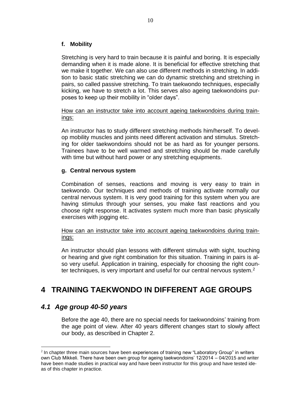### **f. Mobility**

Stretching is very hard to train because it is painful and boring. It is especially demanding when it is made alone. It is beneficial for effective stretching that we make it together. We can also use different methods in stretching. In addition to basic static stretching we can do dynamic stretching and stretching in pairs, so called passive stretching. To train taekwondo techniques, especially kicking, we have to stretch a lot. This serves also ageing taekwondoins purposes to keep up their mobility in "older days".

#### How can an instructor take into account ageing taekwondoins during trainings:

An instructor has to study different stretching methods him/herself. To develop mobility muscles and joints need different activation and stimulus. Stretching for older taekwondoins should not be as hard as for younger persons. Trainees have to be well warmed and stretching should be made carefully with time but without hard power or any stretching equipments.

#### **g. Central nervous system**

Combination of senses, reactions and moving is very easy to train in taekwondo. Our techniques and methods of training activate normally our central nervous system. It is very good training for this system when you are having stimulus through your senses, you make fast reactions and you choose right response. It activates system much more than basic physically exercises with jogging etc.

#### How can an instructor take into account ageing taekwondoins during trainings:

An instructor should plan lessons with different stimulus with sight, touching or hearing and give right combination for this situation. Training in pairs is also very useful. Application in training, especially for choosing the right counter techniques, is very important and useful for our central nervous system.<sup>2</sup>

# <span id="page-10-0"></span>**4 TRAINING TAEKWONDO IN DIFFERENT AGE GROUPS**

# <span id="page-10-1"></span>*4.1 Age group 40-50 years*

1

Before the age 40, there are no special needs for taekwondoins' training from the age point of view. After 40 years different changes start to slowly affect our body, as described in Chapter 2.

<sup>&</sup>lt;sup>2</sup> In chapter three main sources have been experiences of training new "Laboratory Group" in writers own Club Mikkeli. There have been own group for ageing taekwondoins' 12/2014 – 04/2015 and writer have been made studies in practical way and have been instructor for this group and have tested ideas of this chapter in practice.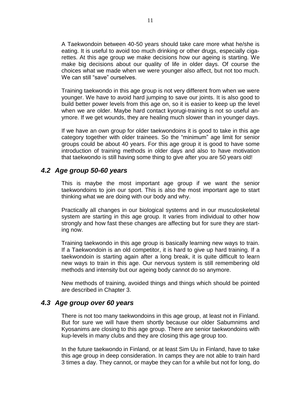A Taekwondoin between 40-50 years should take care more what he/she is eating. It is useful to avoid too much drinking or other drugs, especially cigarettes. At this age group we make decisions how our ageing is starting. We make big decisions about our quality of life in older days. Of course the choices what we made when we were younger also affect, but not too much. We can still "save" ourselves.

Training taekwondo in this age group is not very different from when we were younger. We have to avoid hard jumping to save our joints. It is also good to build better power levels from this age on, so it is easier to keep up the level when we are older. Maybe hard contact kyorugi-training is not so useful anymore. If we get wounds, they are healing much slower than in younger days.

If we have an own group for older taekwondoins it is good to take in this age category together with older trainees. So the "minimum" age limit for senior groups could be about 40 years. For this age group it is good to have some introduction of training methods in older days and also to have motivation that taekwondo is still having some thing to give after you are 50 years old!

### <span id="page-11-0"></span>*4.2 Age group 50-60 years*

This is maybe the most important age group if we want the senior taekwondoins to join our sport. This is also the most important age to start thinking what we are doing with our body and why.

Practically all changes in our biological systems and in our musculoskeletal system are starting in this age group. It varies from individual to other how strongly and how fast these changes are affecting but for sure they are starting now.

Training taekwondo in this age group is basically learning new ways to train. If a Taekwondoin is an old competitor, it is hard to give up hard training. If a taekwondoin is starting again after a long break, it is quite difficult to learn new ways to train in this age. Our nervous system is still remembering old methods and intensity but our ageing body cannot do so anymore.

New methods of training, avoided things and things which should be pointed are described in Chapter 3.

# <span id="page-11-1"></span>*4.3 Age group over 60 years*

There is not too many taekwondoins in this age group, at least not in Finland. But for sure we will have them shortly because our older Sabumnims and Kyosanims are closing to this age group. There are senior taekwondoins with kup-levels in many clubs and they are closing this age group too.

In the future taekwondo in Finland, or at least Sim Uu in Finland, have to take this age group in deep consideration. In camps they are not able to train hard 3 times a day. They cannot, or maybe they can for a while but not for long, do